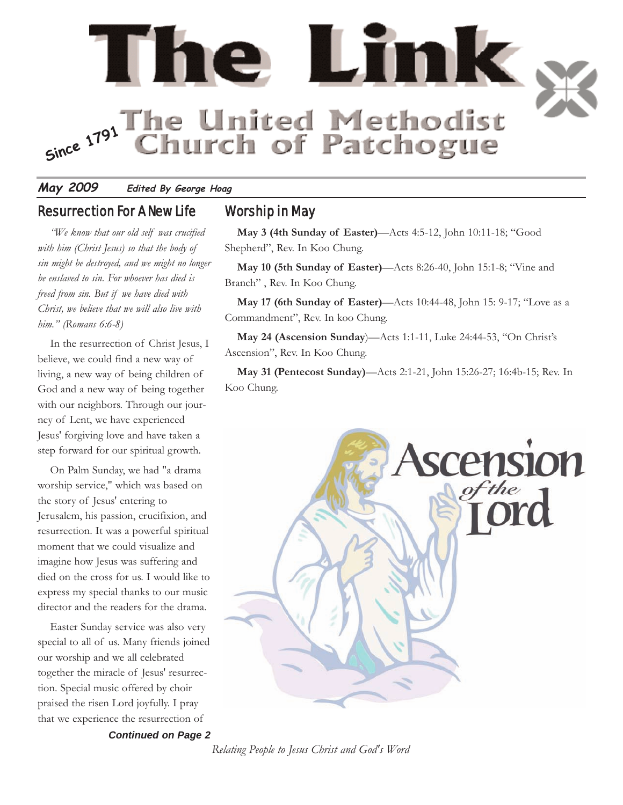

#### **May 2009 Edited By George Hoag**

#### Resurrection For A New Life

*"We know that our old self was crucified with him (Christ Jesus) so that the body of sin might be destroyed, and we might no longer be enslaved to sin. For whoever has died is freed from sin. But if we have died with Christ, we believe that we will also live with him." (Romans 6:6-8)*

In the resurrection of Christ Jesus, I believe, we could find a new way of living, a new way of being children of God and a new way of being together with our neighbors. Through our journey of Lent, we have experienced Jesus' forgiving love and have taken a step forward for our spiritual growth.

On Palm Sunday, we had "a drama worship service," which was based on the story of Jesus' entering to Jerusalem, his passion, crucifixion, and resurrection. It was a powerful spiritual moment that we could visualize and imagine how Jesus was suffering and died on the cross for us. I would like to express my special thanks to our music director and the readers for the drama.

Easter Sunday service was also very special to all of us. Many friends joined our worship and we all celebrated together the miracle of Jesus' resurrection. Special music offered by choir praised the risen Lord joyfully. I pray that we experience the resurrection of

*Continued on Page 2*

### Worship in May

**May 3 (4th Sunday of Easter)**—Acts 4:5-12, John 10:11-18; "Good Shepherd", Rev. In Koo Chung.

**May 10 (5th Sunday of Easter)**—Acts 8:26-40, John 15:1-8; "Vine and Branch" , Rev. In Koo Chung.

**May 17 (6th Sunday of Easter)**—Acts 10:44-48, John 15: 9-17; "Love as a Commandment", Rev. In koo Chung.

**May 24 (Ascension Sunday**)—Acts 1:1-11, Luke 24:44-53, "On Christ's Ascension", Rev. In Koo Chung.

**May 31 (Pentecost Sunday)**—Acts 2:1-21, John 15:26-27; 16:4b-15; Rev. In Koo Chung.



*Relating People to Jesus Christ and God's Word*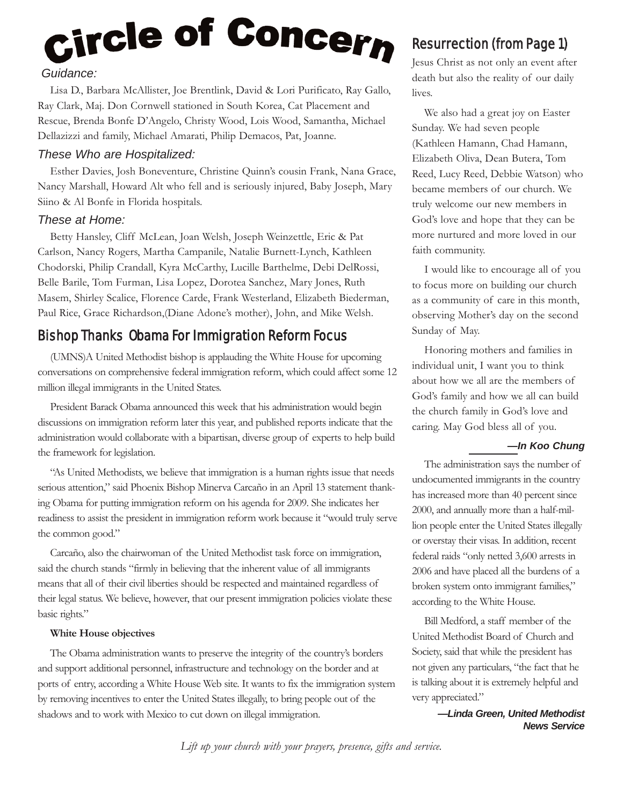# Circle of Concern *Guidance:*

Lisa D., Barbara McAllister, Joe Brentlink, David & Lori Purificato, Ray Gallo, Ray Clark, Maj. Don Cornwell stationed in South Korea, Cat Placement and Rescue, Brenda Bonfe D'Angelo, Christy Wood, Lois Wood, Samantha, Michael Dellazizzi and family, Michael Amarati, Philip Demacos, Pat, Joanne.

#### *These Who are Hospitalized:*

Esther Davies, Josh Boneventure, Christine Quinn's cousin Frank, Nana Grace, Nancy Marshall, Howard Alt who fell and is seriously injured, Baby Joseph, Mary Siino & Al Bonfe in Florida hospitals.

#### *These at Home:*

Betty Hansley, Cliff McLean, Joan Welsh, Joseph Weinzettle, Eric & Pat Carlson, Nancy Rogers, Martha Campanile, Natalie Burnett-Lynch, Kathleen Chodorski, Philip Crandall, Kyra McCarthy, Lucille Barthelme, Debi DelRossi, Belle Barile, Tom Furman, Lisa Lopez, Dorotea Sanchez, Mary Jones, Ruth Masem, Shirley Scalice, Florence Carde, Frank Westerland, Elizabeth Biederman, Paul Rice, Grace Richardson,(Diane Adone's mother), John, and Mike Welsh.

### Bishop Thanks Obama For Immigration Reform Focus

(UMNS)A United Methodist bishop is applauding the White House for upcoming conversations on comprehensive federal immigration reform, which could affect some 12 million illegal immigrants in the United States.

President Barack Obama announced this week that his administration would begin discussions on immigration reform later this year, and published reports indicate that the administration would collaborate with a bipartisan, diverse group of experts to help build the framework for legislation.

"As United Methodists, we believe that immigration is a human rights issue that needs serious attention," said Phoenix Bishop Minerva Carcaño in an April 13 statement thanking Obama for putting immigration reform on his agenda for 2009. She indicates her readiness to assist the president in immigration reform work because it "would truly serve the common good."

Carcaño, also the chairwoman of the United Methodist task force on immigration, said the church stands "firmly in believing that the inherent value of all immigrants means that all of their civil liberties should be respected and maintained regardless of their legal status. We believe, however, that our present immigration policies violate these basic rights."

#### **White House objectives**

The Obama administration wants to preserve the integrity of the country's borders and support additional personnel, infrastructure and technology on the border and at ports of entry, according a White House Web site. It wants to fix the immigration system by removing incentives to enter the United States illegally, to bring people out of the shadows and to work with Mexico to cut down on illegal immigration.

# Resurrection (from Page 1)

Jesus Christ as not only an event after death but also the reality of our daily lives.

We also had a great joy on Easter Sunday. We had seven people (Kathleen Hamann, Chad Hamann, Elizabeth Oliva, Dean Butera, Tom Reed, Lucy Reed, Debbie Watson) who became members of our church. We truly welcome our new members in God's love and hope that they can be more nurtured and more loved in our faith community.

I would like to encourage all of you to focus more on building our church as a community of care in this month, observing Mother's day on the second Sunday of May.

Honoring mothers and families in individual unit, I want you to think about how we all are the members of God's family and how we all can build the church family in God's love and caring. May God bless all of you.

#### *—In Koo Chung*

The administration says the number of undocumented immigrants in the country has increased more than 40 percent since 2000, and annually more than a half-million people enter the United States illegally or overstay their visas. In addition, recent federal raids "only netted 3,600 arrests in 2006 and have placed all the burdens of a broken system onto immigrant families," according to the White House.

Bill Medford, a staff member of the United Methodist Board of Church and Society, said that while the president has not given any particulars, "the fact that he is talking about it is extremely helpful and very appreciated."

> *—Linda Green, United Methodist News Service*

*Lift up your church with your prayers, presence, gifts and service.*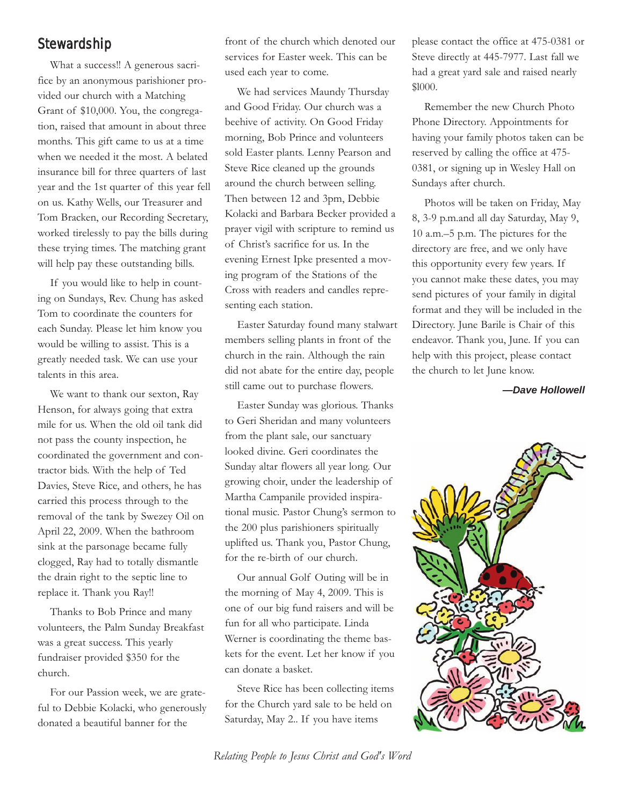#### Stewardship

What a success!! A generous sacrifice by an anonymous parishioner provided our church with a Matching Grant of \$10,000. You, the congregation, raised that amount in about three months. This gift came to us at a time when we needed it the most. A belated insurance bill for three quarters of last year and the 1st quarter of this year fell on us. Kathy Wells, our Treasurer and Tom Bracken, our Recording Secretary, worked tirelessly to pay the bills during these trying times. The matching grant will help pay these outstanding bills.

If you would like to help in counting on Sundays, Rev. Chung has asked Tom to coordinate the counters for each Sunday. Please let him know you would be willing to assist. This is a greatly needed task. We can use your talents in this area.

We want to thank our sexton, Ray Henson, for always going that extra mile for us. When the old oil tank did not pass the county inspection, he coordinated the government and contractor bids. With the help of Ted Davies, Steve Rice, and others, he has carried this process through to the removal of the tank by Swezey Oil on April 22, 2009. When the bathroom sink at the parsonage became fully clogged, Ray had to totally dismantle the drain right to the septic line to replace it. Thank you Ray!!

Thanks to Bob Prince and many volunteers, the Palm Sunday Breakfast was a great success. This yearly fundraiser provided \$350 for the church.

For our Passion week, we are grateful to Debbie Kolacki, who generously donated a beautiful banner for the

front of the church which denoted our services for Easter week. This can be used each year to come.

We had services Maundy Thursday and Good Friday. Our church was a beehive of activity. On Good Friday morning, Bob Prince and volunteers sold Easter plants. Lenny Pearson and Steve Rice cleaned up the grounds around the church between selling. Then between 12 and 3pm, Debbie Kolacki and Barbara Becker provided a prayer vigil with scripture to remind us of Christ's sacrifice for us. In the evening Ernest Ipke presented a moving program of the Stations of the Cross with readers and candles representing each station.

Easter Saturday found many stalwart members selling plants in front of the church in the rain. Although the rain did not abate for the entire day, people still came out to purchase flowers.

Easter Sunday was glorious. Thanks to Geri Sheridan and many volunteers from the plant sale, our sanctuary looked divine. Geri coordinates the Sunday altar flowers all year long. Our growing choir, under the leadership of Martha Campanile provided inspirational music. Pastor Chung's sermon to the 200 plus parishioners spiritually uplifted us. Thank you, Pastor Chung, for the re-birth of our church.

Our annual Golf Outing will be in the morning of May 4, 2009. This is one of our big fund raisers and will be fun for all who participate. Linda Werner is coordinating the theme baskets for the event. Let her know if you can donate a basket.

Steve Rice has been collecting items for the Church yard sale to be held on Saturday, May 2.. If you have items

please contact the office at 475-0381 or Steve directly at 445-7977. Last fall we had a great yard sale and raised nearly \$l000.

Remember the new Church Photo Phone Directory. Appointments for having your family photos taken can be reserved by calling the office at 475- 0381, or signing up in Wesley Hall on Sundays after church.

Photos will be taken on Friday, May 8, 3-9 p.m.and all day Saturday, May 9, 10 a.m.–5 p.m. The pictures for the directory are free, and we only have this opportunity every few years. If you cannot make these dates, you may send pictures of your family in digital format and they will be included in the Directory. June Barile is Chair of this endeavor. Thank you, June. If you can help with this project, please contact the church to let June know.

*—Dave Hollowell*



*Relating People to Jesus Christ and God's Word*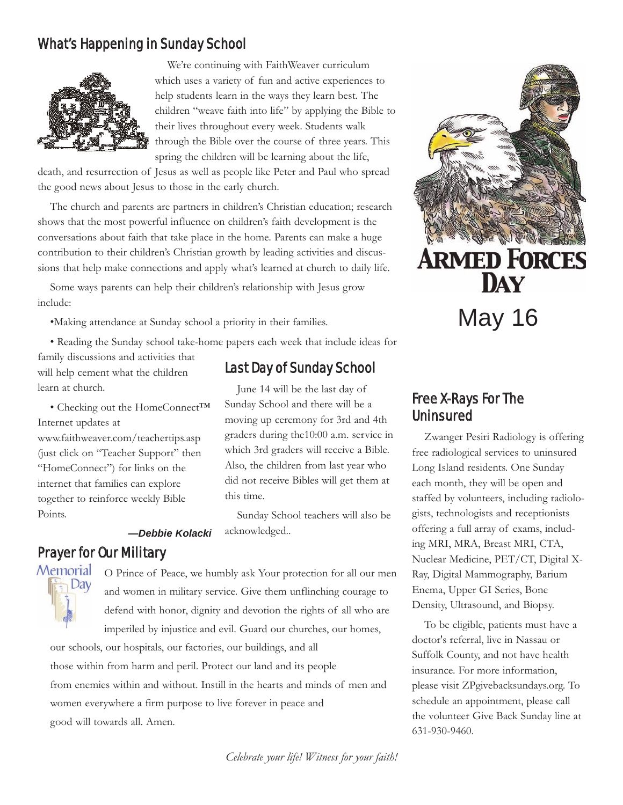# What's Happening in Sunday School



We're continuing with FaithWeaver curriculum which uses a variety of fun and active experiences to help students learn in the ways they learn best. The children "weave faith into life" by applying the Bible to their lives throughout every week. Students walk through the Bible over the course of three years. This spring the children will be learning about the life,

death, and resurrection of Jesus as well as people like Peter and Paul who spread the good news about Jesus to those in the early church.

The church and parents are partners in children's Christian education; research shows that the most powerful influence on children's faith development is the conversations about faith that take place in the home. Parents can make a huge contribution to their children's Christian growth by leading activities and discussions that help make connections and apply what's learned at church to daily life.

Some ways parents can help their children's relationship with Jesus grow include:

•Making attendance at Sunday school a priority in their families.

• Reading the Sunday school take-home papers each week that include ideas for

family discussions and activities that will help cement what the children learn at church.

• Checking out the HomeConnect™ Internet updates at www.faithweaver.com/teachertips.asp (just click on "Teacher Support" then "HomeConnect") for links on the internet that families can explore together to reinforce weekly Bible Points.

# Last Day of Sunday School

June 14 will be the last day of Sunday School and there will be a moving up ceremony for 3rd and 4th graders during the10:00 a.m. service in which 3rd graders will receive a Bible. Also, the children from last year who did not receive Bibles will get them at this time.

Sunday School teachers will also be acknowledged..

*—Debbie Kolacki*

#### Prayer for Our Military Memorial



O Prince of Peace, we humbly ask Your protection for all our men and women in military service. Give them unflinching courage to defend with honor, dignity and devotion the rights of all who are imperiled by injustice and evil. Guard our churches, our homes,

our schools, our hospitals, our factories, our buildings, and all those within from harm and peril. Protect our land and its people from enemies within and without. Instill in the hearts and minds of men and women everywhere a firm purpose to live forever in peace and good will towards all. Amen.



May 16

# Free X-Rays For The Uninsured

Zwanger Pesiri Radiology is offering free radiological services to uninsured Long Island residents. One Sunday each month, they will be open and staffed by volunteers, including radiologists, technologists and receptionists offering a full array of exams, including MRI, MRA, Breast MRI, CTA, Nuclear Medicine, PET/CT, Digital X-Ray, Digital Mammography, Barium Enema, Upper GI Series, Bone Density, Ultrasound, and Biopsy.

To be eligible, patients must have a doctor's referral, live in Nassau or Suffolk County, and not have health insurance. For more information, please visit ZPgivebacksundays.org. To schedule an appointment, please call the volunteer Give Back Sunday line at 631-930-9460.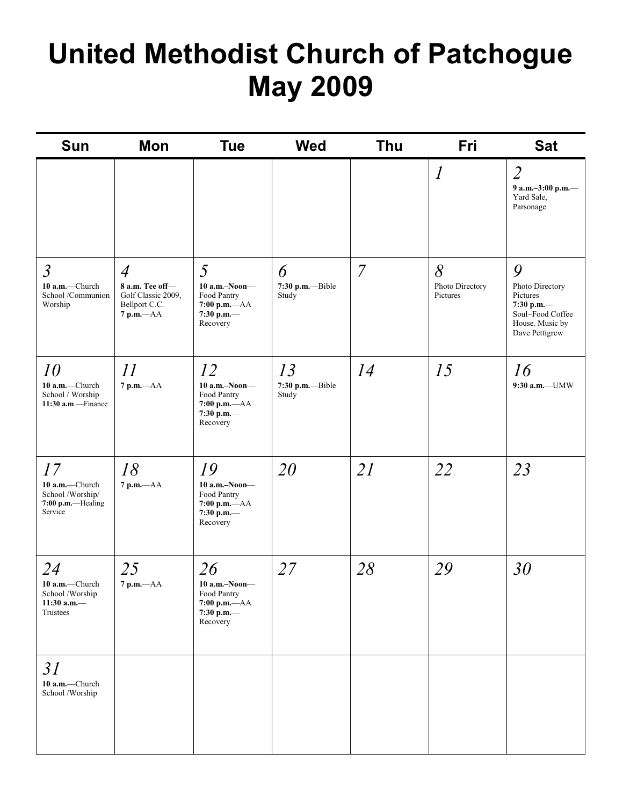# **United Methodist Church of Patchogue May 2009**

| Sun                                                                      | Mon                                                                                      | <b>Tue</b>                                                                          | <b>Wed</b>                      | <b>Thu</b>     | Fri                              | <b>Sat</b>                                                                                              |
|--------------------------------------------------------------------------|------------------------------------------------------------------------------------------|-------------------------------------------------------------------------------------|---------------------------------|----------------|----------------------------------|---------------------------------------------------------------------------------------------------------|
|                                                                          |                                                                                          |                                                                                     |                                 |                | $\mathcal{I}_{\mathcal{I}}$      | $\overline{2}$<br>9 a.m.-3:00 p.m.-<br>Yard Sale,<br>Parsonage                                          |
| $\mathfrak{Z}$<br>10 a.m.-Church<br>School /Communion<br>Worship         | $\overline{4}$<br>8 a.m. Tee off-<br>Golf Classic 2009,<br>Bellport C.C.<br>$7 p.m. -AA$ | 5<br>$10$ a.m.-Noon-<br>Food Pantry<br>$7:00$ p.m.- $AA$<br>7:30 p.m.-<br>Recovery  | 6<br>7:30 p.m.--Bible<br>Study  | $\overline{7}$ | 8<br>Photo Directory<br>Pictures | 9<br>Photo Directory<br>Pictures<br>7:30 p.m.-<br>Soul~Food Coffee<br>House. Music by<br>Dave Pettigrew |
| 10<br>10 a.m.-Church<br>School / Worship<br>$11:30$ a.m.-Finance         | 11<br>$7$ p.m. $-AA$                                                                     | 12<br>$10$ a.m.-Noon-<br>Food Pantry<br>$7:00$ p.m.- $AA$<br>7:30 p.m.-<br>Recovery | 13<br>7:30 p.m.--Bible<br>Study | 14             | 15                               | 16<br>9:30 a.m.-UMW                                                                                     |
| 17<br>10 a.m.-Church<br>School /Worship/<br>7:00 p.m.-Healing<br>Service | 18<br>$7$ p.m. $-AA$                                                                     | 19<br>$10$ a.m.-Noon-<br>Food Pantry<br>$7:00$ p.m.- $AA$<br>7:30 p.m.-<br>Recovery | 20                              | 21             | 22                               | 23                                                                                                      |
| 24<br>10 a.m.-Church<br>School /Worship<br>11:30 a.m. $-$<br>Trustees    | 25<br>$7 p.m. -AA$                                                                       | 26<br>10 a.m.-Noon-<br>Food Pantry<br>$7:00 p.m. -AA$<br>7:30 p.m.—<br>Recovery     | 27                              | 28             | 29                               | 30                                                                                                      |
| 31<br>10 a.m.-Church<br>School /Worship                                  |                                                                                          |                                                                                     |                                 |                |                                  |                                                                                                         |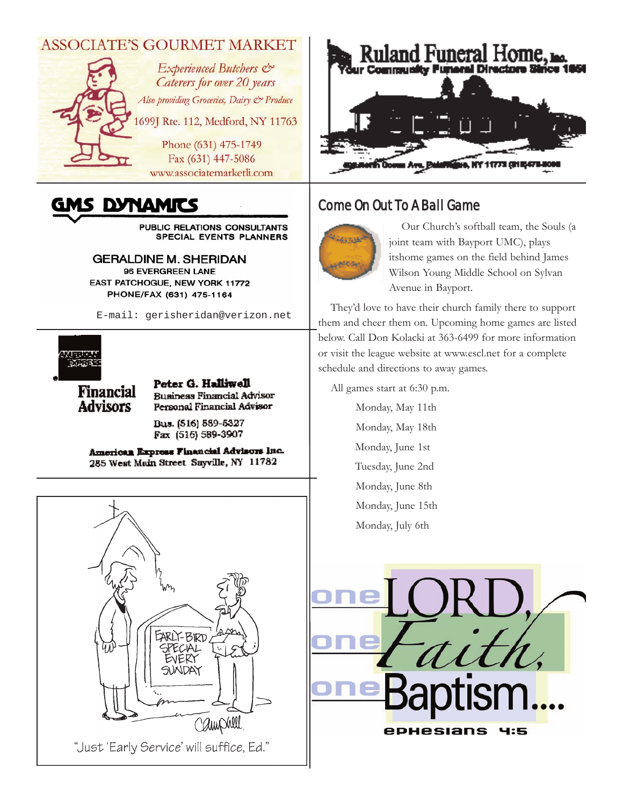# **ASSOCIATE'S GOURMET MARKET**



# GMS DYNAMITS

PUBLIC RELATIONS CONSULTANTS SPECIAL EVENTS PLANNERS

**GERALDINE M. SHERIDAN** 96 EVERGREEN LANE EAST PATCHOGUE, NEW YORK 11772 PHONE/FAX (631) 475-1164

E-mail: gerisheridan@verizon.net



**Financial Advisors** 

Peter G. Halliwell **Business Financial Advisor** Personal Financial Advisor

Bus. (516) 589-5327 Fax (516) 589-3907

American Express Financial Advisors Inc. 285 West Main Street Sayville, NY 11782



# Come On Out To A Ball Game



Our Church's softball team, the Souls (a joint team with Bayport UMC), plays itshome games on the field behind James Wilson Young Middle School on Sylvan Avenue in Bayport.

They'd love to have their church family there to support them and cheer them on. Upcoming home games are listed below. Call Don Kolacki at 363-6499 for more information or visit the league website at www.escl.net for a complete schedule and directions to away games.

All games start at 6:30 p.m.

Monday, May 11th Monday, May 18th Monday, June 1st Tuesday, June 2nd Monday, June 8th Monday, June 15th Monday, July 6th



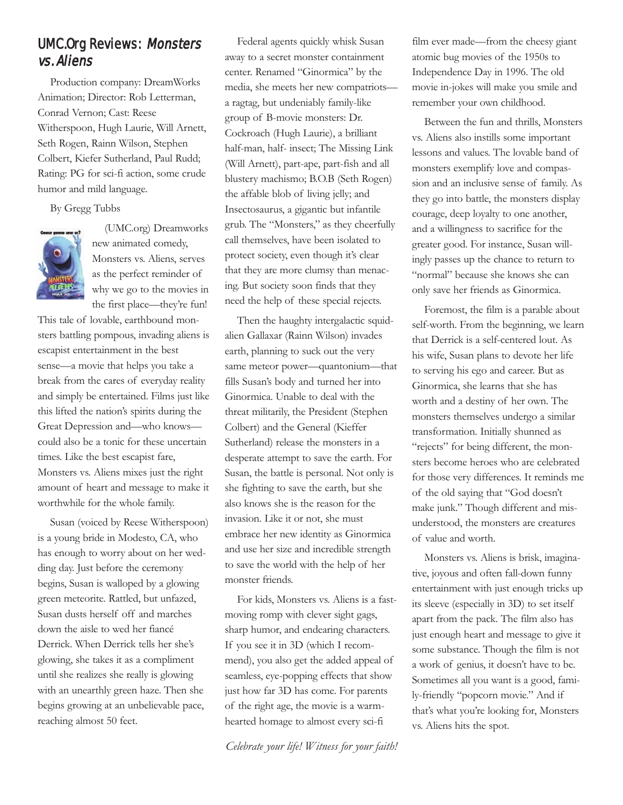# UMC.Org Reviews: Monsters vs. Aliens

Production company: DreamWorks Animation; Director: Rob Letterman, Conrad Vernon; Cast: Reese Witherspoon, Hugh Laurie, Will Arnett, Seth Rogen, Rainn Wilson, Stephen Colbert, Kiefer Sutherland, Paul Rudd; Rating: PG for sci-fi action, some crude humor and mild language.

By Gregg Tubbs



(UMC.org) Dreamworks new animated comedy, Monsters vs. Aliens, serves as the perfect reminder of why we go to the movies in the first place—they're fun!

This tale of lovable, earthbound monsters battling pompous, invading aliens is escapist entertainment in the best sense—a movie that helps you take a break from the cares of everyday reality and simply be entertained. Films just like this lifted the nation's spirits during the Great Depression and—who knows could also be a tonic for these uncertain times. Like the best escapist fare, Monsters vs. Aliens mixes just the right amount of heart and message to make it worthwhile for the whole family.

Susan (voiced by Reese Witherspoon) is a young bride in Modesto, CA, who has enough to worry about on her wedding day. Just before the ceremony begins, Susan is walloped by a glowing green meteorite. Rattled, but unfazed, Susan dusts herself off and marches down the aisle to wed her fiancé Derrick. When Derrick tells her she's glowing, she takes it as a compliment until she realizes she really is glowing with an unearthly green haze. Then she begins growing at an unbelievable pace, reaching almost 50 feet.

Federal agents quickly whisk Susan away to a secret monster containment center. Renamed "Ginormica" by the media, she meets her new compatriots a ragtag, but undeniably family-like group of B-movie monsters: Dr. Cockroach (Hugh Laurie), a brilliant half-man, half- insect; The Missing Link (Will Arnett), part-ape, part-fish and all blustery machismo; B.O.B (Seth Rogen) the affable blob of living jelly; and Insectosaurus, a gigantic but infantile grub. The "Monsters," as they cheerfully call themselves, have been isolated to protect society, even though it's clear that they are more clumsy than menacing. But society soon finds that they need the help of these special rejects.

Then the haughty intergalactic squidalien Gallaxar (Rainn Wilson) invades earth, planning to suck out the very same meteor power—quantonium—that fills Susan's body and turned her into Ginormica. Unable to deal with the threat militarily, the President (Stephen Colbert) and the General (Kieffer Sutherland) release the monsters in a desperate attempt to save the earth. For Susan, the battle is personal. Not only is she fighting to save the earth, but she also knows she is the reason for the invasion. Like it or not, she must embrace her new identity as Ginormica and use her size and incredible strength to save the world with the help of her monster friends.

For kids, Monsters vs. Aliens is a fastmoving romp with clever sight gags, sharp humor, and endearing characters. If you see it in 3D (which I recommend), you also get the added appeal of seamless, eye-popping effects that show just how far 3D has come. For parents of the right age, the movie is a warmhearted homage to almost every sci-fi

*Celebrate your life! Witness for your faith!*

film ever made—from the cheesy giant atomic bug movies of the 1950s to Independence Day in 1996. The old movie in-jokes will make you smile and remember your own childhood.

Between the fun and thrills, Monsters vs. Aliens also instills some important lessons and values. The lovable band of monsters exemplify love and compassion and an inclusive sense of family. As they go into battle, the monsters display courage, deep loyalty to one another, and a willingness to sacrifice for the greater good. For instance, Susan willingly passes up the chance to return to "normal" because she knows she can only save her friends as Ginormica.

Foremost, the film is a parable about self-worth. From the beginning, we learn that Derrick is a self-centered lout. As his wife, Susan plans to devote her life to serving his ego and career. But as Ginormica, she learns that she has worth and a destiny of her own. The monsters themselves undergo a similar transformation. Initially shunned as "rejects" for being different, the monsters become heroes who are celebrated for those very differences. It reminds me of the old saying that "God doesn't make junk." Though different and misunderstood, the monsters are creatures of value and worth.

Monsters vs. Aliens is brisk, imaginative, joyous and often fall-down funny entertainment with just enough tricks up its sleeve (especially in 3D) to set itself apart from the pack. The film also has just enough heart and message to give it some substance. Though the film is not a work of genius, it doesn't have to be. Sometimes all you want is a good, family-friendly "popcorn movie." And if that's what you're looking for, Monsters vs. Aliens hits the spot.